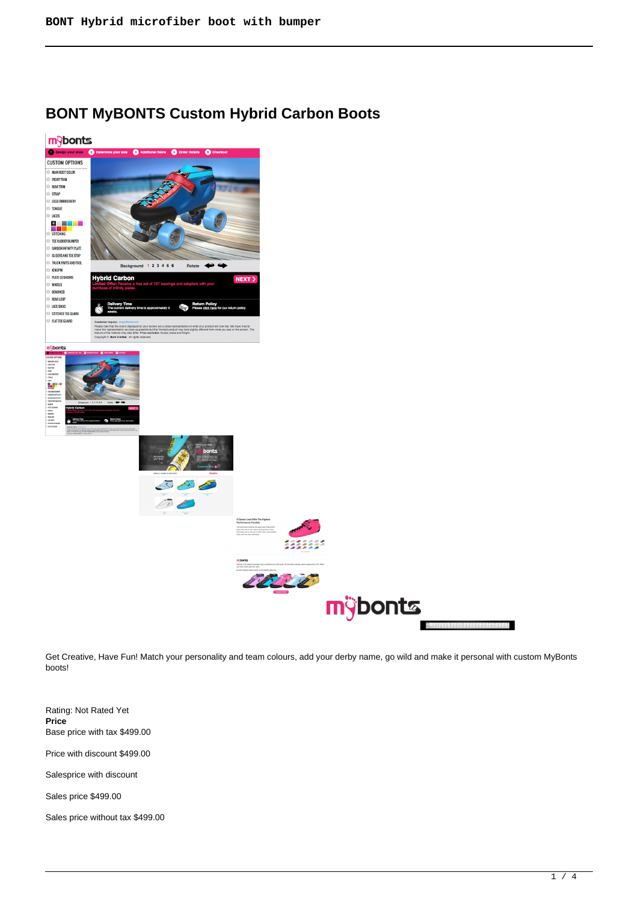# **BONT MyBONTS Custom Hybrid Carbon Boots**



Get Creative, Have Fun! Match your personality and team colours, add your derby name, go wild and make it personal with custom MyBonts boots!

Rating: Not Rated Yet **Price**  Base price with tax \$499.00

Price with discount \$499.00

Salesprice with discount

Sales price \$499.00

Sales price without tax \$499.00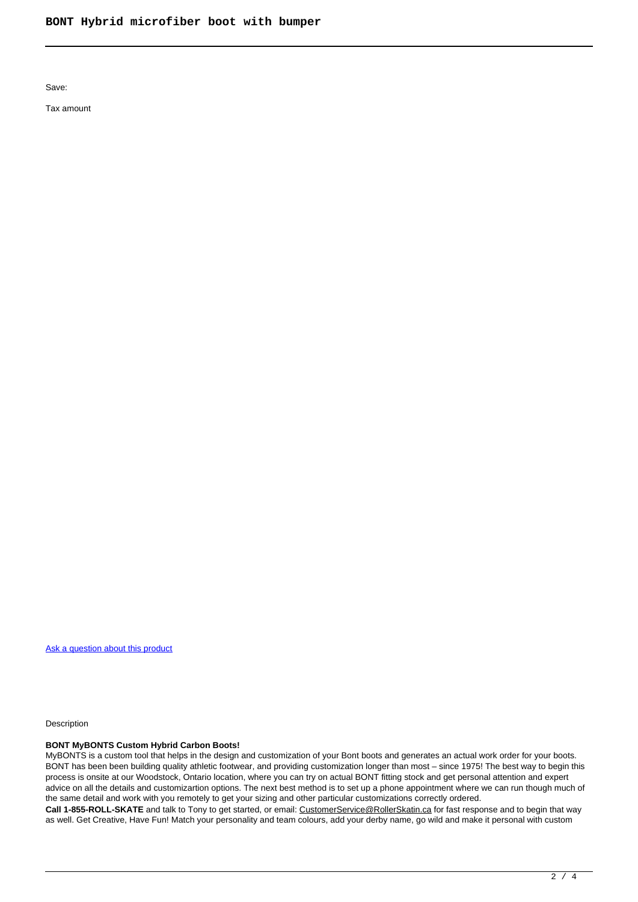Save:

Tax amount

[Ask a question about this product](https://rollerskatin.ca/index.php?option=com_virtuemart&view=productdetails&task=askquestion&virtuemart_product_id=763&virtuemart_category_id=28&tmpl=component)

Description

## **BONT MyBONTS Custom Hybrid Carbon Boots!**

MyBONTS is a custom tool that helps in the design and customization of your Bont boots and generates an actual work order for your boots. BONT has been been building quality athletic footwear, and providing customization longer than most – since 1975! The best way to begin this process is onsite at our Woodstock, Ontario location, where you can try on actual BONT fitting stock and get personal attention and expert advice on all the details and customizartion options. The next best method is to set up a phone appointment where we can run though much of the same detail and work with you remotely to get your sizing and other particular customizations correctly ordered. **Call 1-855-ROLL-SKATE** and talk to Tony to get started, or email: [CustomerService@RollerSkatin.ca](mailto:CustomerService@RollerSkatin.ca) for fast response and to begin that way as well. Get Creative, Have Fun! Match your personality and team colours, add your derby name, go wild and make it personal with custom